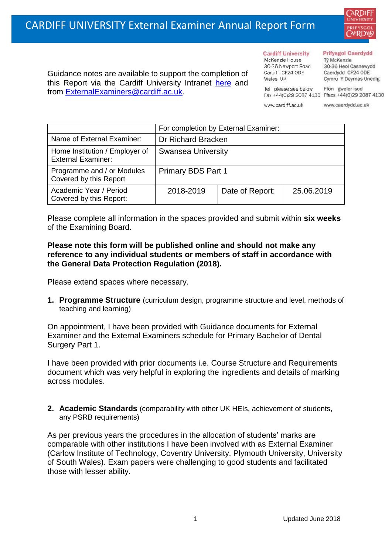

Guidance notes are available to support the completion of this Report via the Cardiff University Intranet [here](https://intranet.cardiff.ac.uk/staff/teaching-and-supporting-students/exams-and-assessment/exam-boards-and-external-examiners/for-current-external-examiners/external-examiners-reports) and from [ExternalExaminers@cardiff.ac.uk.](mailto:ExternalExaminers@cardiff.ac.uk)

**Cardiff University** McKenzie House 30-36 Newport Road Cardiff CF24 ODE

Wales UK

## **Prifysgol Caerdydd**

Từ McKenzie 30-36 Heol Casnewydd Caerdydd CF24 ODE Cymru Y Deyrnas Unedig

Ffôn gweler isod Fax +44(0)29 2087 4130 Ffacs +44(0)29 2087 4130

www.cardiff.ac.uk

Tel please see below

www.caerdydd.ac.uk

|                                                             | For completion by External Examiner: |                 |            |  |
|-------------------------------------------------------------|--------------------------------------|-----------------|------------|--|
| Name of External Examiner:                                  | Dr Richard Bracken                   |                 |            |  |
| Home Institution / Employer of<br><b>External Examiner:</b> | <b>Swansea University</b>            |                 |            |  |
| Programme and / or Modules<br>Covered by this Report        | Primary BDS Part 1                   |                 |            |  |
| Academic Year / Period<br>Covered by this Report:           | 2018-2019                            | Date of Report: | 25.06.2019 |  |

Please complete all information in the spaces provided and submit within **six weeks** of the Examining Board.

## **Please note this form will be published online and should not make any reference to any individual students or members of staff in accordance with the General Data Protection Regulation (2018).**

Please extend spaces where necessary.

**1. Programme Structure** (curriculum design, programme structure and level, methods of teaching and learning)

On appointment, I have been provided with Guidance documents for External Examiner and the External Examiners schedule for Primary Bachelor of Dental Surgery Part 1.

I have been provided with prior documents i.e. Course Structure and Requirements document which was very helpful in exploring the ingredients and details of marking across modules.

**2. Academic Standards** (comparability with other UK HEIs, achievement of students, any PSRB requirements)

As per previous years the procedures in the allocation of students' marks are comparable with other institutions I have been involved with as External Examiner (Carlow Institute of Technology, Coventry University, Plymouth University, University of South Wales). Exam papers were challenging to good students and facilitated those with lesser ability.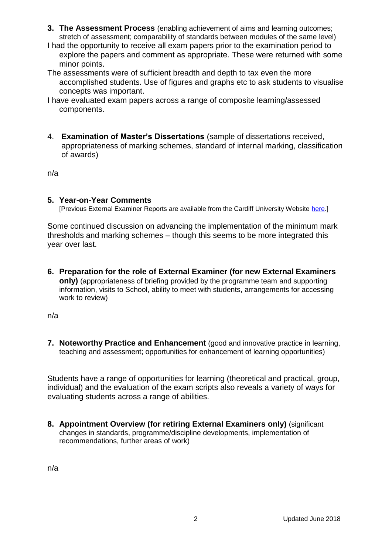- **3. The Assessment Process** (enabling achievement of aims and learning outcomes; stretch of assessment; comparability of standards between modules of the same level)
- I had the opportunity to receive all exam papers prior to the examination period to explore the papers and comment as appropriate. These were returned with some minor points.
- The assessments were of sufficient breadth and depth to tax even the more accomplished students. Use of figures and graphs etc to ask students to visualise concepts was important.
- I have evaluated exam papers across a range of composite learning/assessed components.
- 4. **Examination of Master's Dissertations** (sample of dissertations received, appropriateness of marking schemes, standard of internal marking, classification of awards)

n/a

## **5. Year-on-Year Comments**

[Previous External Examiner Reports are available from the Cardiff University Website [here.](https://www.cardiff.ac.uk/public-information/quality-and-standards/external-examiner-reports)]

Some continued discussion on advancing the implementation of the minimum mark thresholds and marking schemes – though this seems to be more integrated this year over last.

**6. Preparation for the role of External Examiner (for new External Examiners only)** (appropriateness of briefing provided by the programme team and supporting information, visits to School, ability to meet with students, arrangements for accessing work to review)

n/a

**7. Noteworthy Practice and Enhancement** (good and innovative practice in learning, teaching and assessment; opportunities for enhancement of learning opportunities)

Students have a range of opportunities for learning (theoretical and practical, group, individual) and the evaluation of the exam scripts also reveals a variety of ways for evaluating students across a range of abilities.

**8. Appointment Overview (for retiring External Examiners only)** (significant changes in standards, programme/discipline developments, implementation of recommendations, further areas of work)

n/a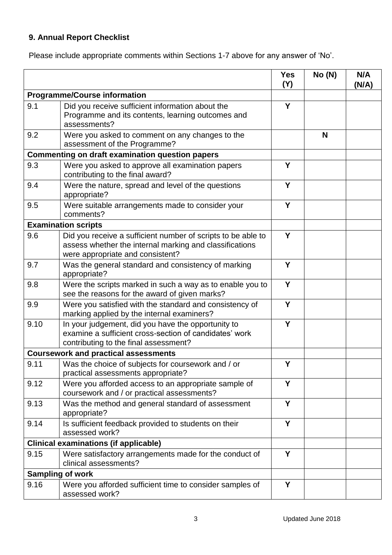## **9. Annual Report Checklist**

Please include appropriate comments within Sections 1-7 above for any answer of 'No'.

|                                                        |                                                                                                                                                             | <b>Yes</b><br>(Y) | No(N) | N/A<br>(N/A) |
|--------------------------------------------------------|-------------------------------------------------------------------------------------------------------------------------------------------------------------|-------------------|-------|--------------|
| <b>Programme/Course information</b>                    |                                                                                                                                                             |                   |       |              |
| 9.1                                                    | Did you receive sufficient information about the<br>Programme and its contents, learning outcomes and<br>assessments?                                       | Y                 |       |              |
| 9.2                                                    | Were you asked to comment on any changes to the<br>assessment of the Programme?                                                                             |                   | N     |              |
| <b>Commenting on draft examination question papers</b> |                                                                                                                                                             |                   |       |              |
| 9.3                                                    | Were you asked to approve all examination papers<br>contributing to the final award?                                                                        | Y                 |       |              |
| 9.4                                                    | Were the nature, spread and level of the questions<br>appropriate?                                                                                          | Y                 |       |              |
| 9.5                                                    | Were suitable arrangements made to consider your<br>comments?                                                                                               | Y                 |       |              |
|                                                        | <b>Examination scripts</b>                                                                                                                                  |                   |       |              |
| 9.6                                                    | Did you receive a sufficient number of scripts to be able to<br>assess whether the internal marking and classifications<br>were appropriate and consistent? | Y                 |       |              |
| 9.7                                                    | Was the general standard and consistency of marking<br>appropriate?                                                                                         | Y                 |       |              |
| 9.8                                                    | Were the scripts marked in such a way as to enable you to<br>see the reasons for the award of given marks?                                                  | Y                 |       |              |
| 9.9                                                    | Were you satisfied with the standard and consistency of<br>marking applied by the internal examiners?                                                       | Υ                 |       |              |
| 9.10                                                   | In your judgement, did you have the opportunity to<br>examine a sufficient cross-section of candidates' work<br>contributing to the final assessment?       | Y                 |       |              |
| <b>Coursework and practical assessments</b>            |                                                                                                                                                             |                   |       |              |
| 9.11                                                   | Was the choice of subjects for coursework and / or<br>practical assessments appropriate?                                                                    | Y                 |       |              |
| 9.12                                                   | Were you afforded access to an appropriate sample of<br>coursework and / or practical assessments?                                                          | Y                 |       |              |
| 9.13                                                   | Was the method and general standard of assessment<br>appropriate?                                                                                           | Y                 |       |              |
| 9.14                                                   | Is sufficient feedback provided to students on their<br>assessed work?                                                                                      | Y                 |       |              |
|                                                        | <b>Clinical examinations (if applicable)</b>                                                                                                                |                   |       |              |
| 9.15                                                   | Were satisfactory arrangements made for the conduct of<br>clinical assessments?                                                                             | Y                 |       |              |
| <b>Sampling of work</b>                                |                                                                                                                                                             |                   |       |              |
| 9.16                                                   | Were you afforded sufficient time to consider samples of<br>assessed work?                                                                                  | Y                 |       |              |